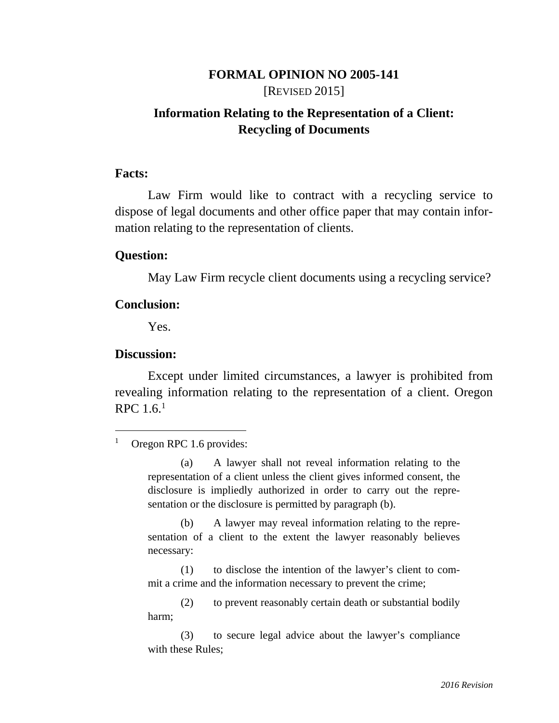# **FORMAL OPINION NO 2005-141**  [REVISED 2015]

# **Information Relating to the Representation of a Client: Recycling of Documents**

#### **Facts:**

Law Firm would like to contract with a recycling service to dispose of legal documents and other office paper that may contain information relating to the representation of clients.

#### **Question:**

May Law Firm recycle client documents using a recycling service?

#### **Conclusion:**

Yes.

#### **Discussion:**

-

Except under limited circumstances, a lawyer is prohibited from revealing information relating to the representation of a client. Oregon RPC 1.6.1

 (a) A lawyer shall not reveal information relating to the representation of a client unless the client gives informed consent, the disclosure is impliedly authorized in order to carry out the representation or the disclosure is permitted by paragraph (b).

 (b) A lawyer may reveal information relating to the representation of a client to the extent the lawyer reasonably believes necessary:

 (1) to disclose the intention of the lawyer's client to commit a crime and the information necessary to prevent the crime;

 (2) to prevent reasonably certain death or substantial bodily harm;

 (3) to secure legal advice about the lawyer's compliance with these Rules;

<sup>&</sup>lt;sup>1</sup> Oregon RPC 1.6 provides: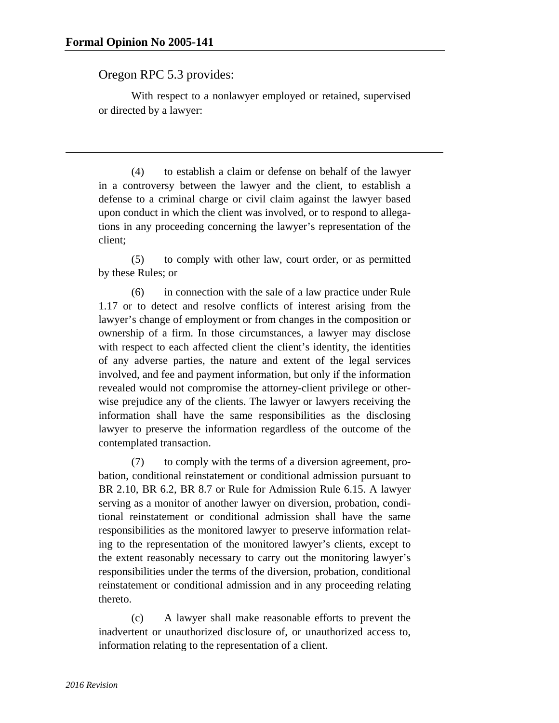$\overline{a}$ 

## Oregon RPC 5.3 provides:

 With respect to a nonlawyer employed or retained, supervised or directed by a lawyer:

 (4) to establish a claim or defense on behalf of the lawyer in a controversy between the lawyer and the client, to establish a defense to a criminal charge or civil claim against the lawyer based upon conduct in which the client was involved, or to respond to allegations in any proceeding concerning the lawyer's representation of the client;

 (5) to comply with other law, court order, or as permitted by these Rules; or

 (6) in connection with the sale of a law practice under Rule 1.17 or to detect and resolve conflicts of interest arising from the lawyer's change of employment or from changes in the composition or ownership of a firm. In those circumstances, a lawyer may disclose with respect to each affected client the client's identity, the identities of any adverse parties, the nature and extent of the legal services involved, and fee and payment information, but only if the information revealed would not compromise the attorney-client privilege or otherwise prejudice any of the clients. The lawyer or lawyers receiving the information shall have the same responsibilities as the disclosing lawyer to preserve the information regardless of the outcome of the contemplated transaction.

 (7) to comply with the terms of a diversion agreement, probation, conditional reinstatement or conditional admission pursuant to BR 2.10, BR 6.2, BR 8.7 or Rule for Admission Rule 6.15. A lawyer serving as a monitor of another lawyer on diversion, probation, conditional reinstatement or conditional admission shall have the same responsibilities as the monitored lawyer to preserve information relating to the representation of the monitored lawyer's clients, except to the extent reasonably necessary to carry out the monitoring lawyer's responsibilities under the terms of the diversion, probation, conditional reinstatement or conditional admission and in any proceeding relating thereto.

 (c) A lawyer shall make reasonable efforts to prevent the inadvertent or unauthorized disclosure of, or unauthorized access to, information relating to the representation of a client.